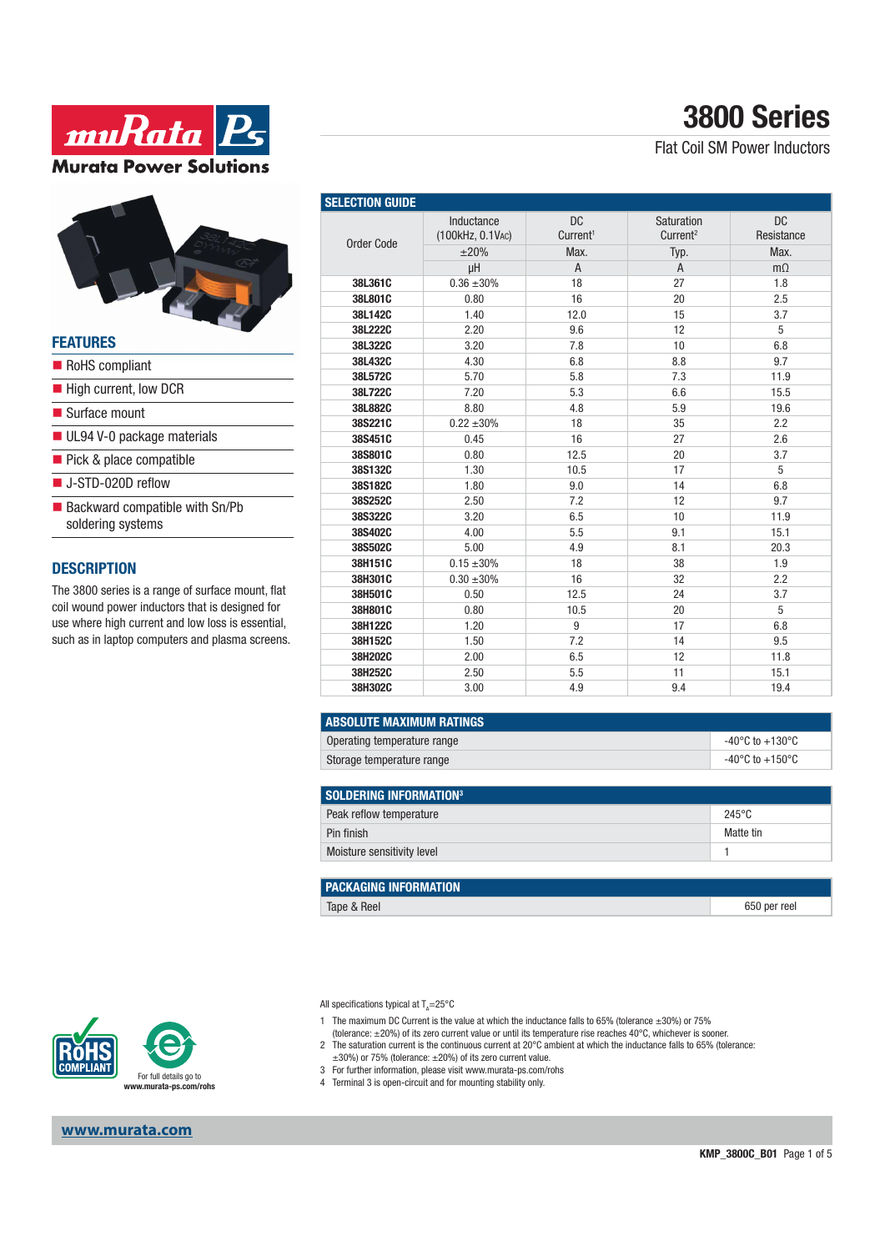



#### **FEATURES**

| RoHS compliant                                        |
|-------------------------------------------------------|
| ■ High current, low DCR                               |
| ■ Surface mount                                       |
| UL94 V-0 package materials                            |
| ■ Pick & place compatible                             |
| $\blacksquare$ J-STD-020D reflow                      |
| ■ Backward compatible with Sn/Pb<br>soldering systems |

### **DESCRIPTION**

The 3800 series is a range of surface mount, flat coil wound power inductors that is designed for use where high current and low loss is essential, such as in laptop computers and plasma screens.

| <b>SELECTION GUIDE</b> |                                        |                                           |                                            |                                 |
|------------------------|----------------------------------------|-------------------------------------------|--------------------------------------------|---------------------------------|
| Order Code             | Inductance<br>(100kHz, 0.1VAC)<br>±20% | <b>DC</b><br>Current <sup>1</sup><br>Max. | Saturation<br>Current <sup>2</sup><br>Typ. | <b>DC</b><br>Resistance<br>Max. |
|                        | uH                                     | $\overline{A}$                            | $\overline{A}$                             | $m\Omega$                       |
| 38L361C                | $0.36 \pm 30\%$                        | 18                                        | 27                                         | 1.8                             |
| 38L801C                | 0.80                                   | 16                                        | 20                                         | 2.5                             |
| 38L142C                | 1.40                                   | 12.0                                      | 15                                         | 3.7                             |
| 38L222C                | 2.20                                   | 9.6                                       | 12                                         | 5                               |
| 38L322C                | 3.20                                   | 7.8                                       | 10                                         | 6.8                             |
| 38L432C                | 4.30                                   | 6.8                                       | 8.8                                        | 9.7                             |
| 38L572C                | 5.70                                   | 5.8                                       | 7.3                                        | 11.9                            |
| 38L722C                | 7.20                                   | 5.3                                       | 6.6                                        | 15.5                            |
| 38L882C                | 8.80                                   | 4.8                                       | 5.9                                        | 19.6                            |
| 38S221C                | $0.22 + 30%$                           | 18                                        | 35                                         | 2.2                             |
| 38S451C                | 0.45                                   | 16                                        | 27                                         | 2.6                             |
| 38S801C                | 0.80                                   | 12.5                                      | 20                                         | 3.7                             |
| 38S132C                | 1.30                                   | 10.5                                      | 17                                         | 5                               |
| 38S182C                | 1.80                                   | 9.0                                       | 14                                         | 6.8                             |
| 38S252C                | 2.50                                   | 7.2                                       | 12                                         | 9.7                             |
| 38S322C                | 3.20                                   | 6.5                                       | 10                                         | 11.9                            |
| 38S402C                | 4.00                                   | 5.5                                       | 9.1                                        | 15.1                            |
| 38S502C                | 5.00                                   | 4.9                                       | 8.1                                        | 20.3                            |
| 38H151C                | $0.15 \pm 30\%$                        | 18                                        | 38                                         | 1.9                             |
| 38H301C                | $0.30 \pm 30\%$                        | 16                                        | 32                                         | 2.2                             |
| 38H501C                | 0.50                                   | 12.5                                      | 24                                         | 3.7                             |
| 38H801C                | 0.80                                   | 10.5                                      | 20                                         | 5                               |
| 38H122C                | 1.20                                   | 9                                         | 17                                         | 6.8                             |
| 38H152C                | 1.50                                   | 7.2                                       | 14                                         | 9.5                             |
| 38H202C                | 2.00                                   | 6.5                                       | 12                                         | 11.8                            |
| 38H252C                | 2.50                                   | 5.5                                       | 11                                         | 15.1                            |
| 38H302C                | 3.00                                   | 4.9                                       | 9.4                                        | 19.4                            |

| <b>ABSOLUTE MAXIMUM RATINGS</b> |                           |  |  |
|---------------------------------|---------------------------|--|--|
| Operating temperature range     | -40°C to +130°C           |  |  |
| Storage temperature range       | -40°C to $+150^{\circ}$ C |  |  |

| SOLDERING INFORMATION <sup>3</sup> |  |  |  |  |
|------------------------------------|--|--|--|--|
| $245^{\circ}$ C                    |  |  |  |  |
| Matte tin                          |  |  |  |  |
|                                    |  |  |  |  |
|                                    |  |  |  |  |

| <b>PACKAGING INFORMATION</b> |              |
|------------------------------|--------------|
| Tape & Reel                  | 650 per reel |

All specifications typical at T<sub>A</sub>=25°C

- 1 The maximum DC Current is the value at which the inductance falls to 65% (tolerance ±30%) or 75%
- (tolerance: ±20%) of its zero current value or until its temperature rise reaches 40°C, whichever is sooner.
- 2 The saturation current is the continuous current at 20°C ambient at which the inductance falls to 65% (tolerance: ±30%) or 75% (tolerance: ±20%) of its zero current value.
- 3 For further information, please visit www.murata-ps.com/rohs
- 4 Terminal 3 is open-circuit and for mounting stability only.



**www.murata.com**

# **3800 Series**

Flat Coil SM Power Inductors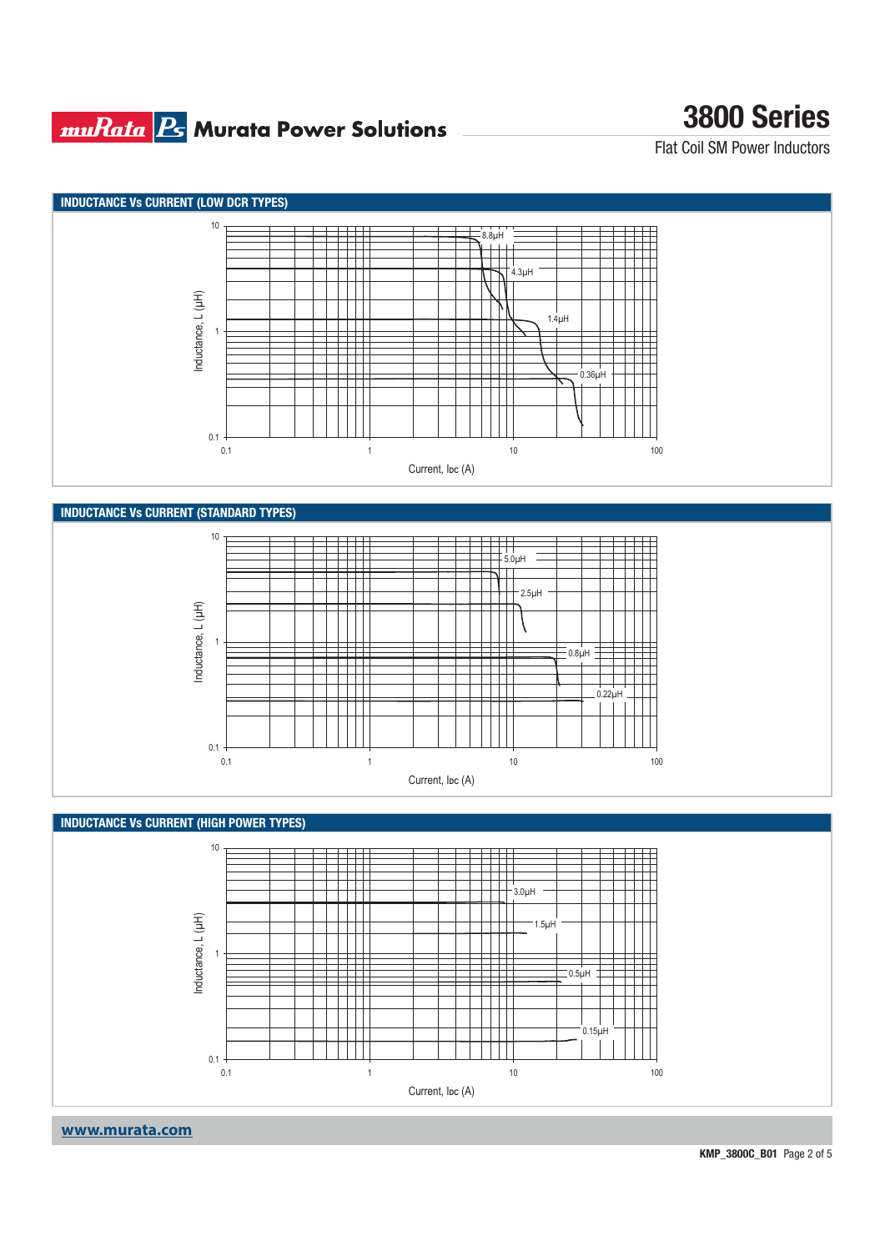### **muRata Ps** Murata Power Solutions

# **3800 Series**

Flat Coil SM Power Inductors



**www.murata.com**

**KMP\_3800C\_B01** Page 2 of 5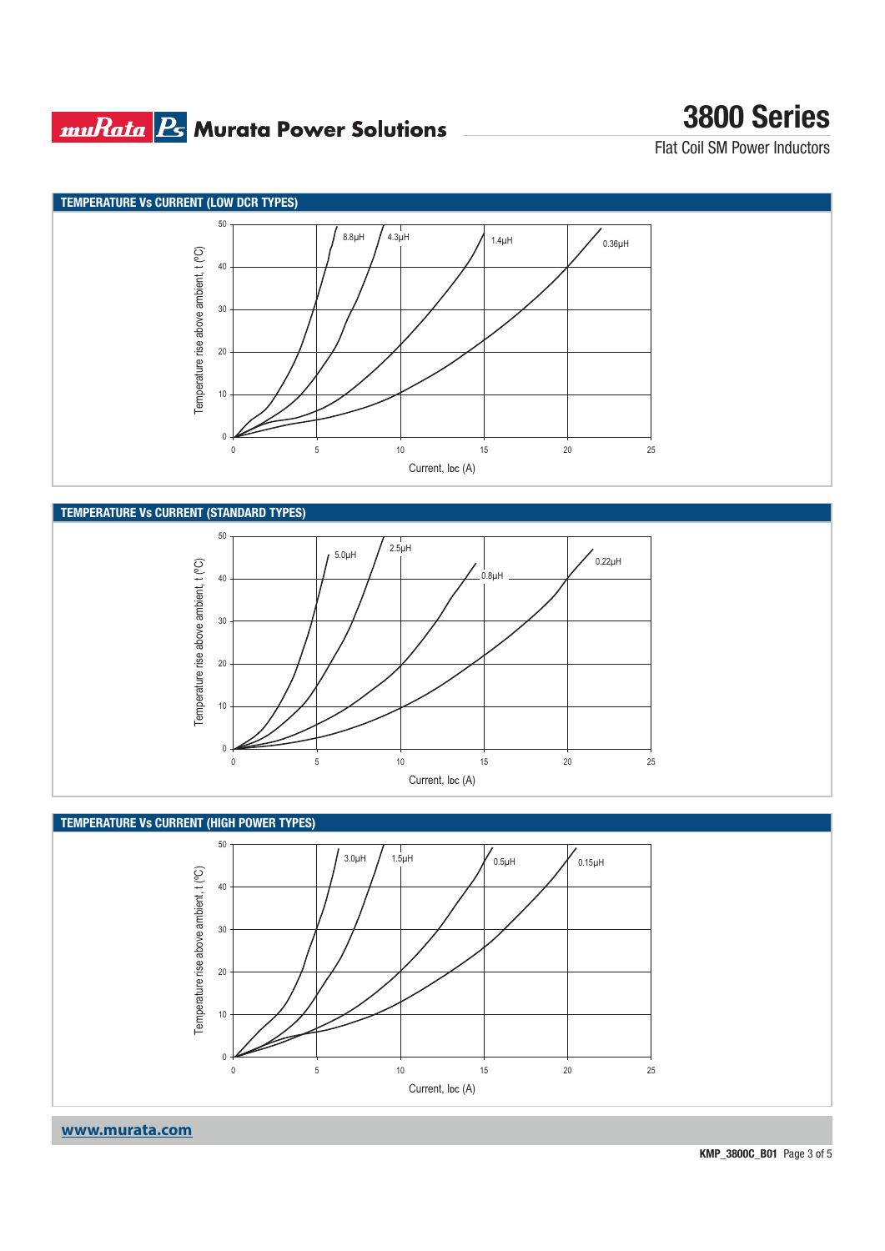## **muRata B** Murata Power Solutions

# **3800 Series**

Flat Coil SM Power Inductors





### **TEMPERATURE Vs CURRENT (HIGH POWER TYPES)**



**www.murata.com**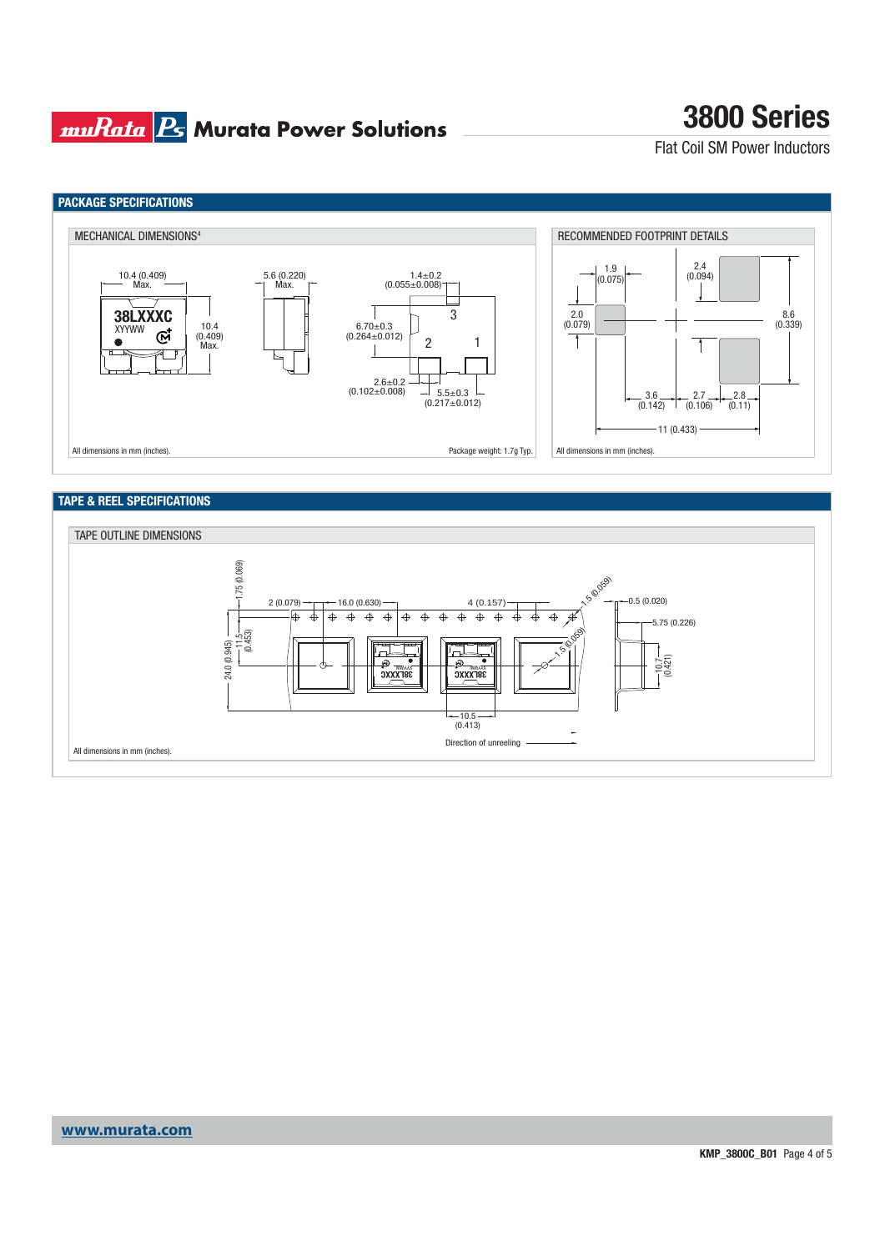### **muRata Ps** Murata Power Solutions

# **3800 Series**

Flat Coil SM Power Inductors



### **TAPE & REEL SPECIFICATIONS**